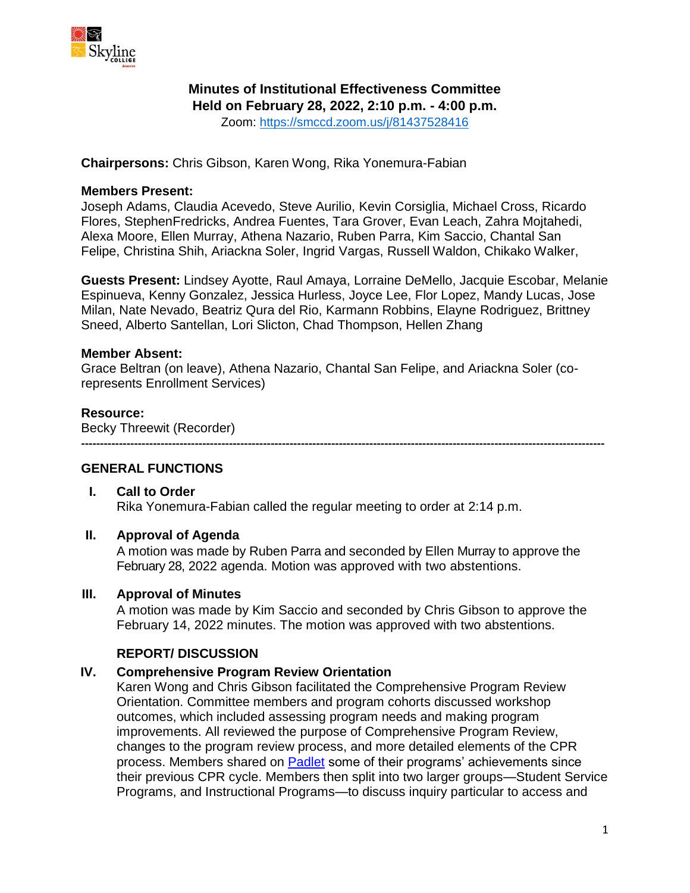

# **Minutes of Institutional Effectiveness Committee**

**Held on February 28, 2022, 2:10 p.m. - 4:00 p.m.**

Zoom:<https://smccd.zoom.us/j/81437528416>

**Chairpersons:** Chris Gibson, Karen Wong, Rika Yonemura-Fabian

#### **Members Present:**

Joseph Adams, Claudia Acevedo, Steve Aurilio, Kevin Corsiglia, Michael Cross, Ricardo Flores, StephenFredricks, Andrea Fuentes, Tara Grover, Evan Leach, Zahra Mojtahedi, Alexa Moore, Ellen Murray, Athena Nazario, Ruben Parra, Kim Saccio, Chantal San Felipe, Christina Shih, Ariackna Soler, Ingrid Vargas, Russell Waldon, Chikako Walker,

**Guests Present:** Lindsey Ayotte, Raul Amaya, Lorraine DeMello, Jacquie Escobar, Melanie Espinueva, Kenny Gonzalez, Jessica Hurless, Joyce Lee, Flor Lopez, Mandy Lucas, Jose Milan, Nate Nevado, Beatriz Qura del Rio, Karmann Robbins, Elayne Rodriguez, Brittney Sneed, Alberto Santellan, Lori Slicton, Chad Thompson, Hellen Zhang

## **Member Absent:**

Grace Beltran (on leave), Athena Nazario, Chantal San Felipe, and Ariackna Soler (corepresents Enrollment Services)

## **Resource:**

Becky Threewit (Recorder)

**------------------------------------------------------------------------------------------------------------------------------------------**

## **GENERAL FUNCTIONS**

## **I. Call to Order**

Rika Yonemura-Fabian called the regular meeting to order at 2:14 p.m.

## **II. Approval of Agenda**

A motion was made by Ruben Parra and seconded by Ellen Murray to approve the February 28, 2022 agenda. Motion was approved with two abstentions.

#### **III. Approval of Minutes**

A motion was made by Kim Saccio and seconded by Chris Gibson to approve the February 14, 2022 minutes. The motion was approved with two abstentions.

## **REPORT/ DISCUSSION**

## **IV. Comprehensive Program Review Orientation**

Karen Wong and Chris Gibson facilitated the Comprehensive Program Review Orientation. Committee members and program cohorts discussed workshop outcomes, which included assessing program needs and making program improvements. All reviewed the purpose of Comprehensive Program Review, changes to the program review process, and more detailed elements of the CPR process. Members shared on [Padlet](https://www.skylinecollege.edu/iec/assets/documents/Padlet_Achievement%20Programs.pdf) some of their programs' achievements since their previous CPR cycle. Members then split into two larger groups—Student Service Programs, and Instructional Programs—to discuss inquiry particular to access and